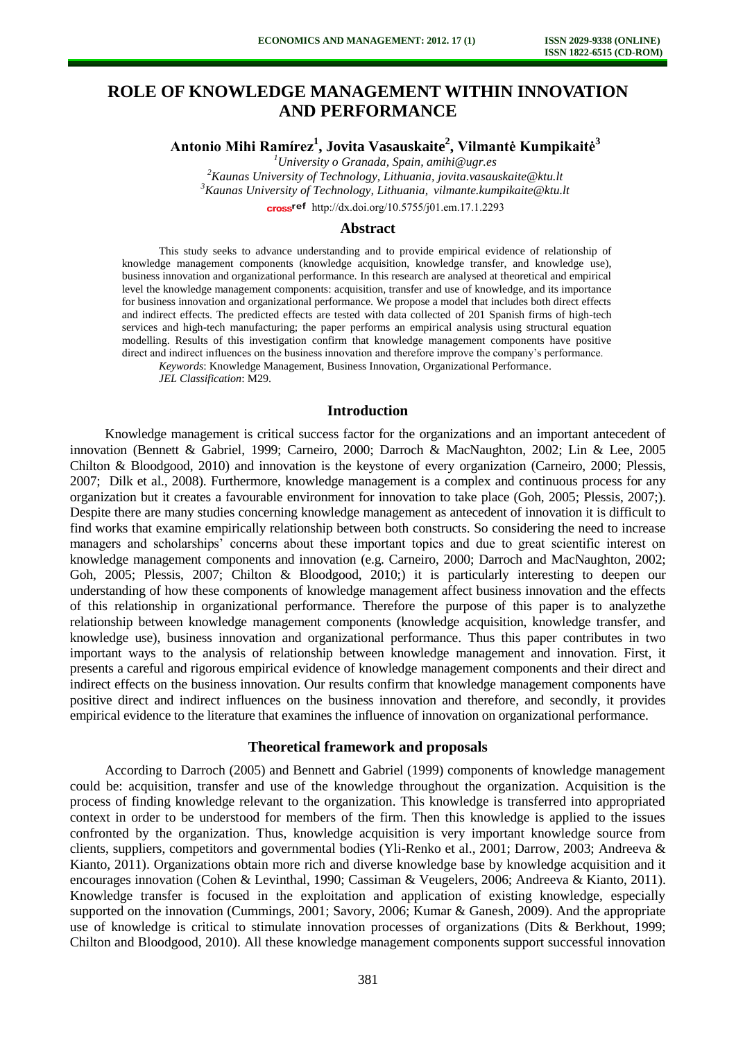# **ROLE OF KNOWLEDGE MANAGEMENT WITHIN INNOVATION AND PERFORMANCE**

**Antonio Mihi Ramírez<sup>1</sup> , Jovita Vasauskaite<sup>2</sup> , Vilmantė Kumpikaitė<sup>3</sup>**

*<sup>1</sup>University o Granada, Spain, amihi@ugr.es*

*<sup>2</sup>Kaunas University of Technology, Lithuania, jovita.vasauskaite@ktu.lt <sup>3</sup>Kaunas University of Technology, Lithuania, vilmante.kumpikaite@ktu.lt* 

cross<sup>ref</sup> [http://dx.doi.org/10.5755/j01.e](http://dx.doi.org/10.5755/j01.em.17.1.2293)m.17.1.2293

## **Abstract**

This study seeks to advance understanding and to provide empirical evidence of relationship of knowledge management components (knowledge acquisition, knowledge transfer, and knowledge use), business innovation and organizational performance. In this research are analysed at theoretical and empirical level the knowledge management components: acquisition, transfer and use of knowledge, and its importance for business innovation and organizational performance. We propose a model that includes both direct effects and indirect effects. The predicted effects are tested with data collected of 201 Spanish firms of high-tech services and high-tech manufacturing; the paper performs an empirical analysis using structural equation modelling. Results of this investigation confirm that knowledge management components have positive direct and indirect influences on the business innovation and therefore improve the company's performance.

*Keywords*: Knowledge Management, Business Innovation, Organizational Performance.

*JEL Classification*: M29.

# **Introduction**

Knowledge management is critical success factor for the organizations and an important antecedent of innovation (Bennett & Gabriel, 1999; Carneiro, 2000; Darroch & MacNaughton, 2002; Lin & Lee, 2005 Chilton & Bloodgood, 2010) and innovation is the keystone of every organization (Carneiro, 2000; Plessis, 2007; Dilk et al., 2008). Furthermore, knowledge management is a complex and continuous process for any organization but it creates a favourable environment for innovation to take place (Goh, 2005; Plessis, 2007;). Despite there are many studies concerning knowledge management as antecedent of innovation it is difficult to find works that examine empirically relationship between both constructs. So considering the need to increase managers and scholarships' concerns about these important topics and due to great scientific interest on knowledge management components and innovation (e.g. Carneiro, 2000; Darroch and MacNaughton, 2002; Goh, 2005; Plessis, 2007; Chilton & Bloodgood, 2010;) it is particularly interesting to deepen our understanding of how these components of knowledge management affect business innovation and the effects of this relationship in organizational performance. Therefore the purpose of this paper is to analyzethe relationship between knowledge management components (knowledge acquisition, knowledge transfer, and knowledge use), business innovation and organizational performance. Thus this paper contributes in two important ways to the analysis of relationship between knowledge management and innovation. First, it presents a careful and rigorous empirical evidence of knowledge management components and their direct and indirect effects on the business innovation. Our results confirm that knowledge management components have positive direct and indirect influences on the business innovation and therefore, and secondly, it provides empirical evidence to the literature that examines the influence of innovation on organizational performance.

#### **Theoretical framework and proposals**

According to Darroch (2005) and Bennett and Gabriel (1999) components of knowledge management could be: acquisition, transfer and use of the knowledge throughout the organization. Acquisition is the process of finding knowledge relevant to the organization. This knowledge is transferred into appropriated context in order to be understood for members of the firm. Then this knowledge is applied to the issues confronted by the organization. Thus, knowledge acquisition is very important knowledge source from clients, suppliers, competitors and governmental bodies (Yli-Renko et al., 2001; Darrow, 2003; Andreeva & Kianto, 2011). Organizations obtain more rich and diverse knowledge base by knowledge acquisition and it encourages innovation (Cohen & Levinthal, 1990; Cassiman & Veugelers, 2006; Andreeva & Kianto, 2011). Knowledge transfer is focused in the exploitation and application of existing knowledge, especially supported on the innovation (Cummings, 2001; Savory, 2006; Kumar & Ganesh, 2009). And the appropriate use of knowledge is critical to stimulate innovation processes of organizations (Dits & Berkhout, 1999; Chilton and Bloodgood, 2010). All these knowledge management components support successful innovation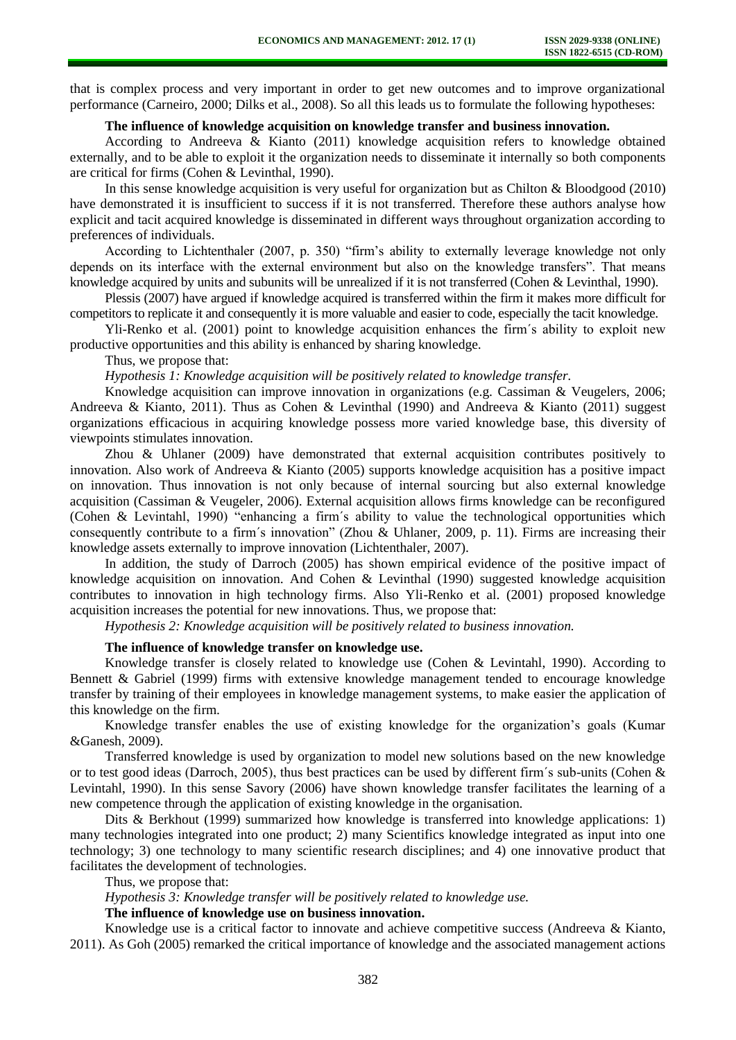that is complex process and very important in order to get new outcomes and to improve organizational performance (Carneiro, 2000; Dilks et al., 2008). So all this leads us to formulate the following hypotheses:

### **The influence of knowledge acquisition on knowledge transfer and business innovation.**

According to Andreeva & Kianto (2011) knowledge acquisition refers to knowledge obtained externally, and to be able to exploit it the organization needs to disseminate it internally so both components are critical for firms (Cohen & Levinthal, 1990).

In this sense knowledge acquisition is very useful for organization but as Chilton & Bloodgood (2010) have demonstrated it is insufficient to success if it is not transferred. Therefore these authors analyse how explicit and tacit acquired knowledge is disseminated in different ways throughout organization according to preferences of individuals.

According to Lichtenthaler (2007, p. 350) "firm's ability to externally leverage knowledge not only depends on its interface with the external environment but also on the knowledge transfers". That means knowledge acquired by units and subunits will be unrealized if it is not transferred (Cohen & Levinthal, 1990).

Plessis (2007) have argued if knowledge acquired is transferred within the firm it makes more difficult for competitors to replicate it and consequently it is more valuable and easier to code, especially the tacit knowledge.

Yli-Renko et al. (2001) point to knowledge acquisition enhances the firm´s ability to exploit new productive opportunities and this ability is enhanced by sharing knowledge.

Thus, we propose that:

*Hypothesis 1: Knowledge acquisition will be positively related to knowledge transfer.* 

Knowledge acquisition can improve innovation in organizations (e.g. Cassiman & Veugelers, 2006; Andreeva & Kianto, 2011). Thus as Cohen & Levinthal (1990) and Andreeva & Kianto (2011) suggest organizations efficacious in acquiring knowledge possess more varied knowledge base, this diversity of viewpoints stimulates innovation.

Zhou & Uhlaner (2009) have demonstrated that external acquisition contributes positively to innovation. Also work of Andreeva & Kianto (2005) supports knowledge acquisition has a positive impact on innovation. Thus innovation is not only because of internal sourcing but also external knowledge acquisition (Cassiman & Veugeler, 2006). External acquisition allows firms knowledge can be reconfigured (Cohen & Levintahl, 1990) "enhancing a firm´s ability to value the technological opportunities which consequently contribute to a firm´s innovation" (Zhou & Uhlaner, 2009, p. 11). Firms are increasing their knowledge assets externally to improve innovation (Lichtenthaler, 2007).

In addition, the study of Darroch (2005) has shown empirical evidence of the positive impact of knowledge acquisition on innovation. And Cohen & Levinthal (1990) suggested knowledge acquisition contributes to innovation in high technology firms. Also Yli-Renko et al. (2001) proposed knowledge acquisition increases the potential for new innovations. Thus, we propose that:

*Hypothesis 2: Knowledge acquisition will be positively related to business innovation.* 

## **The influence of knowledge transfer on knowledge use.**

Knowledge transfer is closely related to knowledge use (Cohen & Levintahl, 1990). According to Bennett & Gabriel (1999) firms with extensive knowledge management tended to encourage knowledge transfer by training of their employees in knowledge management systems, to make easier the application of this knowledge on the firm.

Knowledge transfer enables the use of existing knowledge for the organization's goals (Kumar &Ganesh, 2009).

Transferred knowledge is used by organization to model new solutions based on the new knowledge or to test good ideas (Darroch, 2005), thus best practices can be used by different firm´s sub-units (Cohen & Levintahl, 1990). In this sense Savory (2006) have shown knowledge transfer facilitates the learning of a new competence through the application of existing knowledge in the organisation.

Dits & Berkhout (1999) summarized how knowledge is transferred into knowledge applications: 1) many technologies integrated into one product; 2) many Scientifics knowledge integrated as input into one technology; 3) one technology to many scientific research disciplines; and 4) one innovative product that facilitates the development of technologies.

Thus, we propose that:

## *Hypothesis 3: Knowledge transfer will be positively related to knowledge use.*

**The influence of knowledge use on business innovation.** 

Knowledge use is a critical factor to innovate and achieve competitive success (Andreeva & Kianto, 2011). As Goh (2005) remarked the critical importance of knowledge and the associated management actions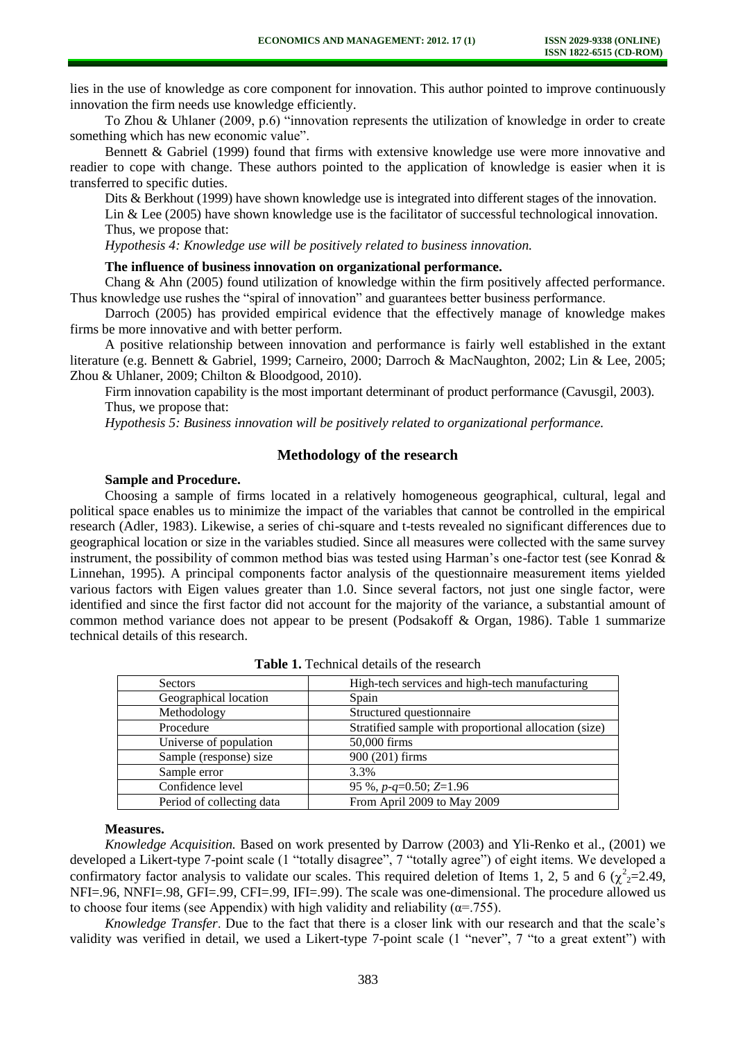lies in the use of knowledge as core component for innovation. This author pointed to improve continuously innovation the firm needs use knowledge efficiently.

To Zhou & Uhlaner (2009, p.6) "innovation represents the utilization of knowledge in order to create something which has new economic value".

Bennett & Gabriel (1999) found that firms with extensive knowledge use were more innovative and readier to cope with change. These authors pointed to the application of knowledge is easier when it is transferred to specific duties.

Dits & Berkhout (1999) have shown knowledge use is integrated into different stages of the innovation. Lin & Lee (2005) have shown knowledge use is the facilitator of successful technological innovation. Thus, we propose that:

*Hypothesis 4: Knowledge use will be positively related to business innovation.* 

### **The influence of business innovation on organizational performance.**

Chang & Ahn (2005) found utilization of knowledge within the firm positively affected performance. Thus knowledge use rushes the "spiral of innovation" and guarantees better business performance.

Darroch (2005) has provided empirical evidence that the effectively manage of knowledge makes firms be more innovative and with better perform.

A positive relationship between innovation and performance is fairly well established in the extant literature (e.g. Bennett & Gabriel, 1999; Carneiro, 2000; Darroch & MacNaughton, 2002; Lin & Lee, 2005; Zhou & Uhlaner, 2009; Chilton & Bloodgood, 2010).

Firm innovation capability is the most important determinant of product performance (Cavusgil, 2003). Thus, we propose that:

*Hypothesis 5: Business innovation will be positively related to organizational performance.* 

# **Methodology of the research**

## **Sample and Procedure.**

Choosing a sample of firms located in a relatively homogeneous geographical, cultural, legal and political space enables us to minimize the impact of the variables that cannot be controlled in the empirical research (Adler, 1983). Likewise, a series of chi-square and t-tests revealed no significant differences due to geographical location or size in the variables studied. Since all measures were collected with the same survey instrument, the possibility of common method bias was tested using Harman's one-factor test (see Konrad & Linnehan, 1995). A principal components factor analysis of the questionnaire measurement items yielded various factors with Eigen values greater than 1.0. Since several factors, not just one single factor, were identified and since the first factor did not account for the majority of the variance, a substantial amount of common method variance does not appear to be present (Podsakoff & Organ, 1986). Table 1 summarize technical details of this research.

| <b>Sectors</b>            | High-tech services and high-tech manufacturing        |
|---------------------------|-------------------------------------------------------|
| Geographical location     | Spain                                                 |
| Methodology               | Structured questionnaire                              |
| Procedure                 | Stratified sample with proportional allocation (size) |
| Universe of population    | 50,000 firms                                          |
| Sample (response) size    | 900 (201) firms                                       |
| Sample error              | 3.3%                                                  |
| Confidence level          | 95 %, $p$ - $q=0.50$ ; $Z=1.96$                       |
| Period of collecting data | From April 2009 to May 2009                           |

|  |  | <b>Table 1.</b> Technical details of the research |  |  |  |
|--|--|---------------------------------------------------|--|--|--|
|--|--|---------------------------------------------------|--|--|--|

## **Measures.**

*Knowledge Acquisition.* Based on work presented by Darrow (2003) and Yli-Renko et al., (2001) we developed a Likert-type 7-point scale (1 "totally disagree", 7 "totally agree") of eight items. We developed a confirmatory factor analysis to validate our scales. This required deletion of Items 1, 2, 5 and 6 ( $\chi^2$ <sub>2</sub>=2.49, NFI=.96, NNFI=.98, GFI=.99, CFI=.99, IFI=.99). The scale was one-dimensional. The procedure allowed us to choose four items (see Appendix) with high validity and reliability ( $\alpha$ =.755).

*Knowledge Transfer*. Due to the fact that there is a closer link with our research and that the scale's validity was verified in detail, we used a Likert-type 7-point scale (1 "never", 7 "to a great extent") with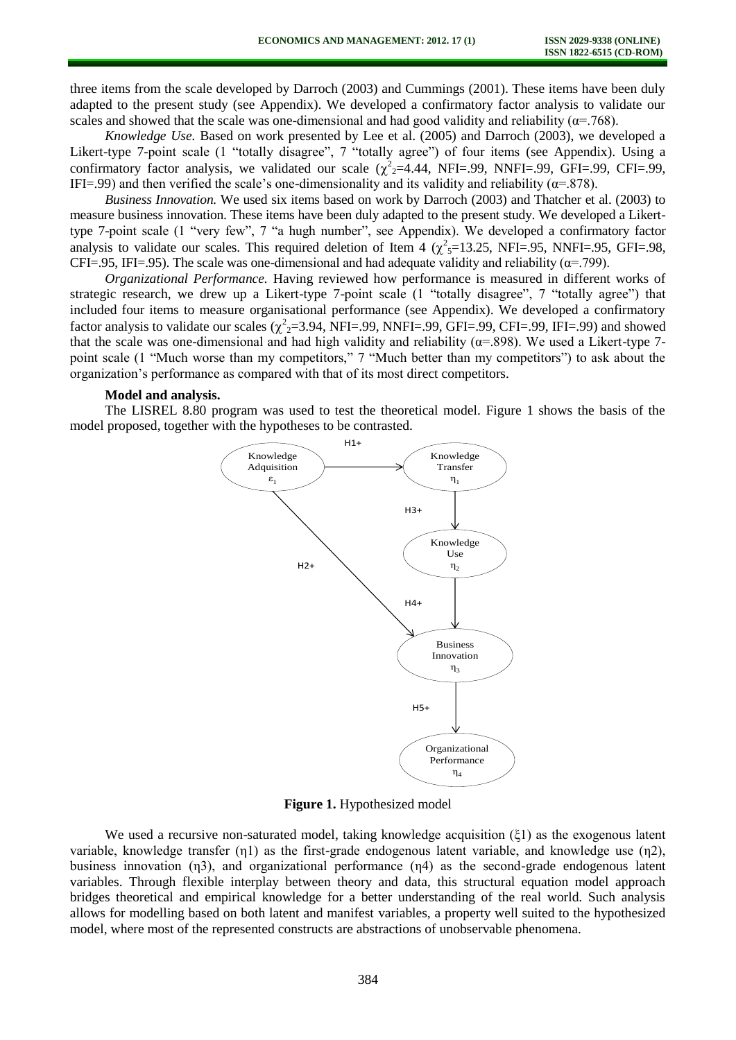three items from the scale developed by Darroch (2003) and Cummings (2001). These items have been duly adapted to the present study (see Appendix). We developed a confirmatory factor analysis to validate our scales and showed that the scale was one-dimensional and had good validity and reliability ( $\alpha$ =.768).

*Knowledge Use.* Based on work presented by Lee et al. (2005) and Darroch (2003), we developed a Likert-type 7-point scale (1 "totally disagree", 7 "totally agree") of four items (see Appendix). Using a confirmatory factor analysis, we validated our scale  $(\chi^2_2=4.44, \text{NFI}=.99, \text{NNFI}=.99, \text{GFI}=.99, \text{CFI}=.99,$ IFI=.99) and then verified the scale's one-dimensionality and its validity and reliability ( $\alpha$ =.878).

*Business Innovation.* We used six items based on work by Darroch (2003) and Thatcher et al. (2003) to measure business innovation. These items have been duly adapted to the present study. We developed a Likerttype 7-point scale (1 "very few", 7 "a hugh number", see Appendix). We developed a confirmatory factor analysis to validate our scales. This required deletion of Item 4 ( $\chi^2$ <sub>5</sub>=13.25, NFI=.95, NNFI=.95, GFI=.98, CFI=.95, IFI=.95). The scale was one-dimensional and had adequate validity and reliability ( $\alpha$ =.799).

*Organizational Performance.* Having reviewed how performance is measured in different works of strategic research, we drew up a Likert-type 7-point scale (1 "totally disagree", 7 "totally agree") that included four items to measure organisational performance (see Appendix). We developed a confirmatory factor analysis to validate our scales ( $\chi^2$ <sub>2</sub>=3.94, NFI=.99, NNFI=.99, GFI=.99, CFI=.99, IFI=.99) and showed that the scale was one-dimensional and had high validity and reliability ( $\alpha$ =.898). We used a Likert-type 7point scale (1 "Much worse than my competitors," 7 "Much better than my competitors") to ask about the organization's performance as compared with that of its most direct competitors.

#### **Model and analysis.**

The LISREL 8.80 program was used to test the theoretical model. Figure 1 shows the basis of the model proposed, together with the hypotheses to be contrasted.



**Figure 1.** Hypothesized model

We used a recursive non-saturated model, taking knowledge acquisition (ξ1) as the exogenous latent variable, knowledge transfer (η1) as the first-grade endogenous latent variable, and knowledge use (η2), business innovation (η3), and organizational performance (η4) as the second-grade endogenous latent variables. Through flexible interplay between theory and data, this structural equation model approach bridges theoretical and empirical knowledge for a better understanding of the real world. Such analysis allows for modelling based on both latent and manifest variables, a property well suited to the hypothesized model, where most of the represented constructs are abstractions of unobservable phenomena.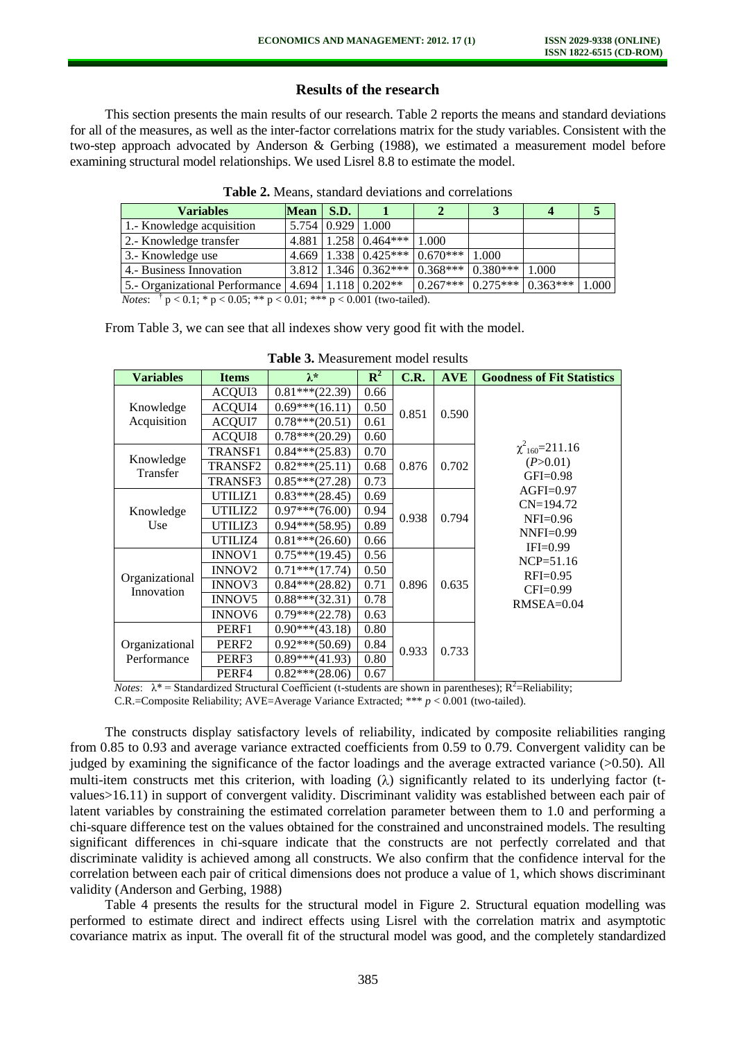# **Results of the research**

This section presents the main results of our research. Table 2 reports the means and standard deviations for all of the measures, as well as the inter-factor correlations matrix for the study variables. Consistent with the two-step approach advocated by Anderson & Gerbing (1988), we estimated a measurement model before examining structural model relationships. We used Lisrel 8.8 to estimate the model.

| <b>Variables</b>                                                                                                                                                                                                                                                                              | $Mean \mid S.D.$ |                       |                            |                                                   |       |       |      |  |  |  |
|-----------------------------------------------------------------------------------------------------------------------------------------------------------------------------------------------------------------------------------------------------------------------------------------------|------------------|-----------------------|----------------------------|---------------------------------------------------|-------|-------|------|--|--|--|
| 1.- Knowledge acquisition                                                                                                                                                                                                                                                                     |                  | 5.754   0.929   1.000 |                            |                                                   |       |       |      |  |  |  |
| 2.- Knowledge transfer                                                                                                                                                                                                                                                                        |                  |                       | $4.881$   1.258   0.464*** | 1.000                                             |       |       |      |  |  |  |
| 3.- Knowledge use                                                                                                                                                                                                                                                                             |                  |                       |                            | $4.669$   1.338   0.425***   0.670***             | 1.000 |       |      |  |  |  |
| 4. Business Innovation                                                                                                                                                                                                                                                                        |                  |                       |                            | $13.812$   1.346   0.362***   0.368***   0.380*** |       | 1.000 |      |  |  |  |
| 5.- Organizational Performance   4.694   1.118   0.202**                                                                                                                                                                                                                                      |                  |                       |                            | $0.267***$ 0.275*** 0.363***                      |       |       | .000 |  |  |  |
| $\mathbf{M}$ . I $\mathbf{A}$ to $\mathbf{A}$ the second who are $\mathbf{A}$ and $\mathbf{A}$ and $\mathbf{A}$ and $\mathbf{A}$ and $\mathbf{A}$ and $\mathbf{A}$ are $\mathbf{A}$ and $\mathbf{A}$ are $\mathbf{A}$ and $\mathbf{A}$ are $\mathbf{A}$ and $\mathbf{A}$ are $\mathbf{A}$ and |                  |                       |                            |                                                   |       |       |      |  |  |  |

**Table 2.** Means, standard deviations and correlations

*Notes*: <sup>†</sup>  $p < 0.1$ ; \*  $p < 0.05$ ; \*\*  $p < 0.01$ ; \*\*\*  $p < 0.001$  (two-tailed).

From Table 3, we can see that all indexes show very good fit with the model.

| <b>Variables</b>                    | <b>Items</b>        | $\lambda^*$       | $\mathbf{R}^2$ | C.R.  | <b>AVE</b> | <b>Goodness of Fit Statistics</b> |  |  |  |  |
|-------------------------------------|---------------------|-------------------|----------------|-------|------------|-----------------------------------|--|--|--|--|
| Knowledge                           | ACQUI3              | $0.81***$ (22.39) | 0.66           |       |            |                                   |  |  |  |  |
|                                     | ACQUI4              | $0.69***(16.11)$  | 0.50           | 0.851 | 0.590      |                                   |  |  |  |  |
| Acquisition                         | <b>ACQUI7</b>       | $0.78***(20.51)$  | 0.61           |       |            |                                   |  |  |  |  |
|                                     | <b>ACQUI8</b>       | $0.78***(20.29)$  | 0.60           |       |            |                                   |  |  |  |  |
|                                     | TRANSF1             | $0.84***(25.83)$  | 0.70           |       |            | $\chi^2_{160} = 211.16$           |  |  |  |  |
| Knowledge<br>Transfer               | TRANSF <sub>2</sub> | $0.82***(25.11)$  | 0.68           | 0.876 | 0.702      | (P>0.01)                          |  |  |  |  |
|                                     | TRANSF3             | $0.85***(27.28)$  | 0.73           |       |            | $GFI=0.98$                        |  |  |  |  |
|                                     | UTILIZ1             | $0.83***(28.45)$  | 0.69           |       |            | $AGFI=0.97$                       |  |  |  |  |
| Knowledge                           | UTILIZ2             | $0.97***$ (76.00) | 0.94           | 0.938 | 0.794      | $CN=194.72$                       |  |  |  |  |
| Use<br>Organizational<br>Innovation | UTILIZ3             | $0.94***$ (58.95) | 0.89           |       |            | $NFI=0.96$<br>$NNFI=0.99$         |  |  |  |  |
|                                     | UTILIZ4             | $0.81***(26.60)$  | 0.66           |       |            | $IFI=0.99$                        |  |  |  |  |
|                                     | <b>INNOV1</b>       | $0.75***(19.45)$  | 0.56           |       |            | $NCP = 51.16$                     |  |  |  |  |
|                                     | INNOV <sub>2</sub>  | $0.71***$ (17.74) | 0.50           |       |            | $RFI=0.95$                        |  |  |  |  |
|                                     | INNOV3              | $0.84***$ (28.82) | 0.71           | 0.896 | 0.635      | $CFI=0.99$                        |  |  |  |  |
|                                     | <b>INNOV5</b>       | $0.88***(32.31)$  | 0.78           |       |            | $RMSEA=0.04$                      |  |  |  |  |
|                                     | <b>INNOV6</b>       | $0.79***$ (22.78) | 0.63           |       |            |                                   |  |  |  |  |
| Organizational<br>Performance       | PERF1               | $0.90***$ (43.18) | 0.80           |       |            |                                   |  |  |  |  |
|                                     | PERF <sub>2</sub>   | $0.92***(50.69)$  | 0.84           | 0.933 | 0.733      |                                   |  |  |  |  |
|                                     | PERF3               | $0.89***$ (41.93) | 0.80           |       |            |                                   |  |  |  |  |
|                                     | PERF4               | $0.82***(28.06)$  | 0.67           |       |            |                                   |  |  |  |  |

**Table 3.** Measurement model results

*Notes*:  $\lambda^*$  = Standardized Structural Coefficient (t-students are shown in parentheses);  $R^2$  = Reliability; C.R.=Composite Reliability; AVE=Average Variance Extracted; \*\*\* *p* < 0.001 (two-tailed).

The constructs display satisfactory levels of reliability, indicated by composite reliabilities ranging from 0.85 to 0.93 and average variance extracted coefficients from 0.59 to 0.79. Convergent validity can be judged by examining the significance of the factor loadings and the average extracted variance (>0.50). All multi-item constructs met this criterion, with loading  $(\lambda)$  significantly related to its underlying factor (tvalues>16.11) in support of convergent validity. Discriminant validity was established between each pair of latent variables by constraining the estimated correlation parameter between them to 1.0 and performing a chi-square difference test on the values obtained for the constrained and unconstrained models. The resulting significant differences in chi-square indicate that the constructs are not perfectly correlated and that discriminate validity is achieved among all constructs. We also confirm that the confidence interval for the correlation between each pair of critical dimensions does not produce a value of 1, which shows discriminant validity (Anderson and Gerbing, 1988)

Table 4 presents the results for the structural model in Figure 2. Structural equation modelling was performed to estimate direct and indirect effects using Lisrel with the correlation matrix and asymptotic covariance matrix as input. The overall fit of the structural model was good, and the completely standardized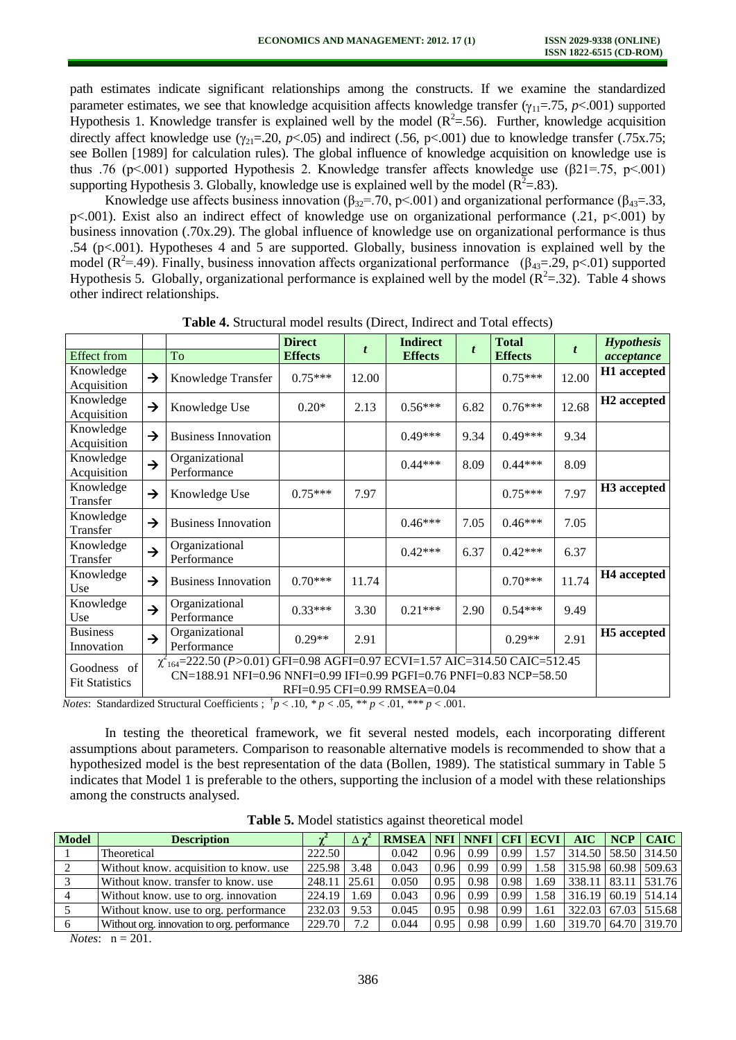path estimates indicate significant relationships among the constructs. If we examine the standardized parameter estimates, we see that knowledge acquisition affects knowledge transfer  $(\gamma_{11}=75, p<.001)$  supported Hypothesis 1. Knowledge transfer is explained well by the model  $(R^2 = .56)$ . Further, knowledge acquisition directly affect knowledge use  $(\gamma_{21}=20, p<0.05)$  and indirect (.56, p<.001) due to knowledge transfer (.75x.75; see Bollen [1989] for calculation rules). The global influence of knowledge acquisition on knowledge use is thus .76 (p<.001) supported Hypothesis 2. Knowledge transfer affects knowledge use ( $\beta$ 21=.75, p<.001) supporting Hypothesis 3. Globally, knowledge use is explained well by the model ( $R^2 = .83$ ).

Knowledge use affects business innovation ( $\beta_{32}$ =.70, p<.001) and organizational performance ( $\beta_{43}$ =.33, p<.001). Exist also an indirect effect of knowledge use on organizational performance (.21, p<.001) by business innovation (.70x.29). The global influence of knowledge use on organizational performance is thus .54 (p<.001). Hypotheses 4 and 5 are supported. Globally, business innovation is explained well by the model ( $\mathbb{R}^2$ =.49). Finally, business innovation affects organizational performance ( $\beta_{43}$ =.29, p<.01) supported Hypothesis 5. Globally, organizational performance is explained well by the model  $(R^2 = .32)$ . Table 4 shows other indirect relationships.

|                                      |               |                                                                                                                                                            | <b>Direct</b>  | t     | <b>Indirect</b>              | t    | <b>Total</b>   | $\boldsymbol{t}$ | <b>Hypothesis</b>       |
|--------------------------------------|---------------|------------------------------------------------------------------------------------------------------------------------------------------------------------|----------------|-------|------------------------------|------|----------------|------------------|-------------------------|
| <b>Effect</b> from                   |               | To                                                                                                                                                         | <b>Effects</b> |       | <b>Effects</b>               |      | <b>Effects</b> |                  | acceptance              |
| Knowledge<br>Acquisition             | →             | Knowledge Transfer                                                                                                                                         | $0.75***$      | 12.00 |                              |      | $0.75***$      | 12.00            | H1 accepted             |
| Knowledge<br>Acquisition             | $\rightarrow$ | Knowledge Use                                                                                                                                              | $0.20*$        | 2.13  | $0.56***$                    | 6.82 | $0.76***$      | 12.68            | H <sub>2</sub> accepted |
| Knowledge<br>Acquisition             | $\rightarrow$ | <b>Business Innovation</b>                                                                                                                                 |                |       | $0.49***$                    | 9.34 | $0.49***$      | 9.34             |                         |
| Knowledge<br>Acquisition             | $\rightarrow$ | Organizational<br>Performance                                                                                                                              |                |       | $0.44***$                    | 8.09 | $0.44***$      | 8.09             |                         |
| Knowledge<br>Transfer                | $\rightarrow$ | Knowledge Use                                                                                                                                              | $0.75***$      | 7.97  |                              |      | $0.75***$      | 7.97             | H <sub>3</sub> accepted |
| Knowledge<br>Transfer                | $\rightarrow$ | <b>Business Innovation</b>                                                                                                                                 |                |       | $0.46***$                    | 7.05 | $0.46***$      | 7.05             |                         |
| Knowledge<br>Transfer                | $\rightarrow$ | Organizational<br>Performance                                                                                                                              |                |       | $0.42***$                    | 6.37 | $0.42***$      | 6.37             |                         |
| Knowledge<br>Use                     | →             | <b>Business Innovation</b>                                                                                                                                 | $0.70***$      | 11.74 |                              |      | $0.70***$      | 11.74            | H <sub>4</sub> accepted |
| Knowledge<br>Use                     | $\rightarrow$ | Organizational<br>Performance                                                                                                                              | $0.33***$      | 3.30  | $0.21***$                    | 2.90 | $0.54***$      | 9.49             |                         |
| <b>Business</b><br>Innovation        | $\rightarrow$ | Organizational<br>Performance                                                                                                                              | $0.29**$       | 2.91  |                              |      | $0.29**$       | 2.91             | H <sub>5</sub> accepted |
| Goodness of<br><b>Fit Statistics</b> |               | $\chi^2_{164}$ =222.50 (P>0.01) GFI=0.98 AGFI=0.97 ECVI=1.57 AIC=314.50 CAIC=512.45<br>CN=188.91 NFI=0.96 NNFI=0.99 IFI=0.99 PGFI=0.76 PNFI=0.83 NCP=58.50 |                |       | RFI=0.95 CFI=0.99 RMSEA=0.04 |      |                |                  |                         |

**Table 4.** Structural model results (Direct, Indirect and Total effects)

*Notes*: Standardized Structural Coefficients ;  $\frac{p}{p}$  < .10,  $\frac{p}{p}$  < .05,  $\frac{p}{p}$  < .01,  $\frac{p}{p}$  < .001.

In testing the theoretical framework, we fit several nested models, each incorporating different assumptions about parameters. Comparison to reasonable alternative models is recommended to show that a hypothesized model is the best representation of the data (Bollen, 1989). The statistical summary in Table 5 indicates that Model 1 is preferable to the others, supporting the inclusion of a model with these relationships among the constructs analysed.

| <b>Model</b> | <b>Description</b>                          |        |       | <b>RMSEA</b> |      |      |      | NFI NNFI CFI ECVI | AIC                     | $NCP$   CAIC            |
|--------------|---------------------------------------------|--------|-------|--------------|------|------|------|-------------------|-------------------------|-------------------------|
|              | Theoretical                                 | 222.50 |       | 0.042        | 0.96 | 0.99 | 0.99 | 1.57              | 314.50   58.50   314.50 |                         |
|              | Without know, acquisition to know, use      | 225.98 | 3.48  | 0.043        | 0.96 | 0.99 | 0.99 | .58               |                         | 315.98 60.98 509.63     |
|              | Without know, transfer to know, use         | 248.11 | 25.61 | 0.050        | 0.95 | 0.98 | 0.98 | .69               |                         | 338.11   83.11   531.76 |
|              | Without know, use to org. innovation        | 224.19 | 1.69  | 0.043        | 0.96 | 0.99 | 0.99 | l.58              |                         | 316.19 60.19 514.14     |
|              | Without know. use to org. performance       | 232.03 | 9.53  | 0.045        | 0.95 | 0.98 | 0.99 | . 61              |                         | 322.03 67.03 515.68     |
|              | Without org. innovation to org. performance | 229.70 | 7.2   | 0.044        | 0.95 | 0.98 | 0.99 | 60                |                         | 319.70 64.70 319.70     |

**Table 5.** Model statistics against theoretical model

*Notes*: n = 201.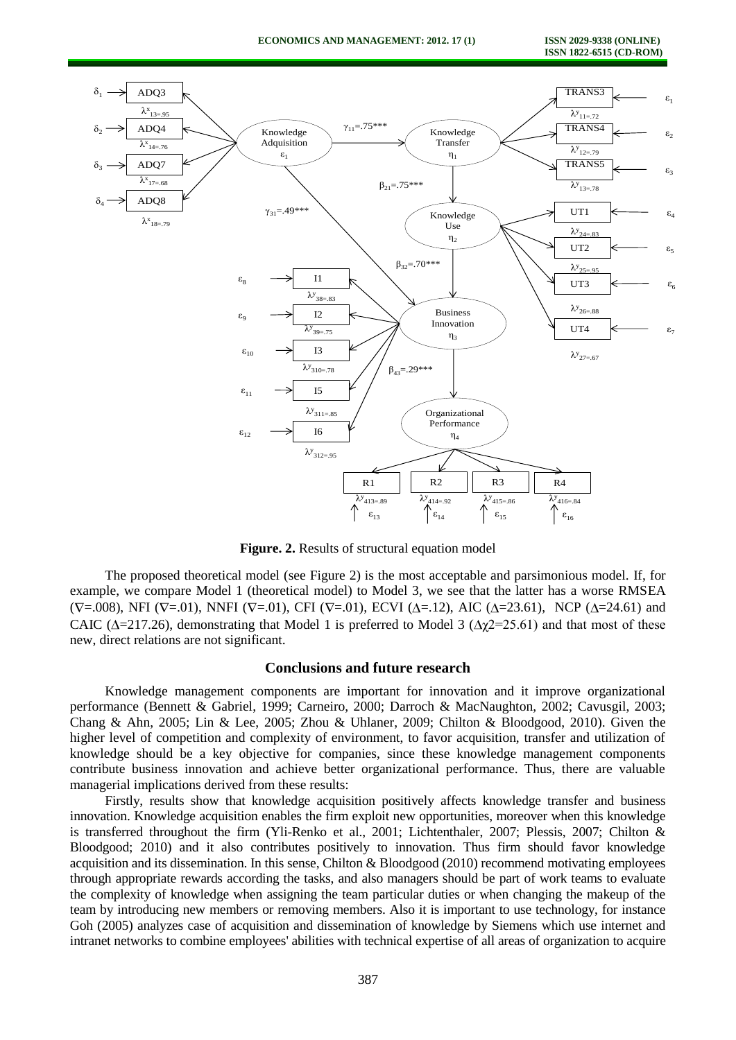

**Figure. 2.** Results of structural equation model

The proposed theoretical model (see Figure 2) is the most acceptable and parsimonious model. If, for example, we compare Model 1 (theoretical model) to Model 3, we see that the latter has a worse RMSEA  $(V=0.008)$ , NFI ( $V=0.01$ ), NNFI ( $V=0.01$ ), CFI ( $V=0.01$ ), ECVI ( $\Delta=1.2$ ), AIC ( $\Delta=23.61$ ), NCP ( $\Delta=24.61$ ) and CAIC ( $\Delta$ =217.26), demonstrating that Model 1 is preferred to Model 3 ( $\Delta \chi$ 2=25.61) and that most of these new, direct relations are not significant.

#### **Conclusions and future research**

Knowledge management components are important for innovation and it improve organizational performance (Bennett & Gabriel, 1999; Carneiro, 2000; Darroch & MacNaughton, 2002; Cavusgil, 2003; Chang & Ahn, 2005; Lin & Lee, 2005; Zhou & Uhlaner, 2009; Chilton & Bloodgood, 2010). Given the higher level of competition and complexity of environment, to favor acquisition, transfer and utilization of knowledge should be a key objective for companies, since these knowledge management components contribute business innovation and achieve better organizational performance. Thus, there are valuable managerial implications derived from these results:

Firstly, results show that knowledge acquisition positively affects knowledge transfer and business innovation. Knowledge acquisition enables the firm exploit new opportunities, moreover when this knowledge is transferred throughout the firm (Yli-Renko et al., 2001; Lichtenthaler, 2007; Plessis, 2007; Chilton & Bloodgood; 2010) and it also contributes positively to innovation. Thus firm should favor knowledge acquisition and its dissemination. In this sense, Chilton & Bloodgood (2010) recommend motivating employees through appropriate rewards according the tasks, and also managers should be part of work teams to evaluate the complexity of knowledge when assigning the team particular duties or when changing the makeup of the team by introducing new members or removing members. Also it is important to use technology, for instance Goh (2005) analyzes case of acquisition and dissemination of knowledge by Siemens which use internet and intranet networks to combine employees' abilities with technical expertise of all areas of organization to acquire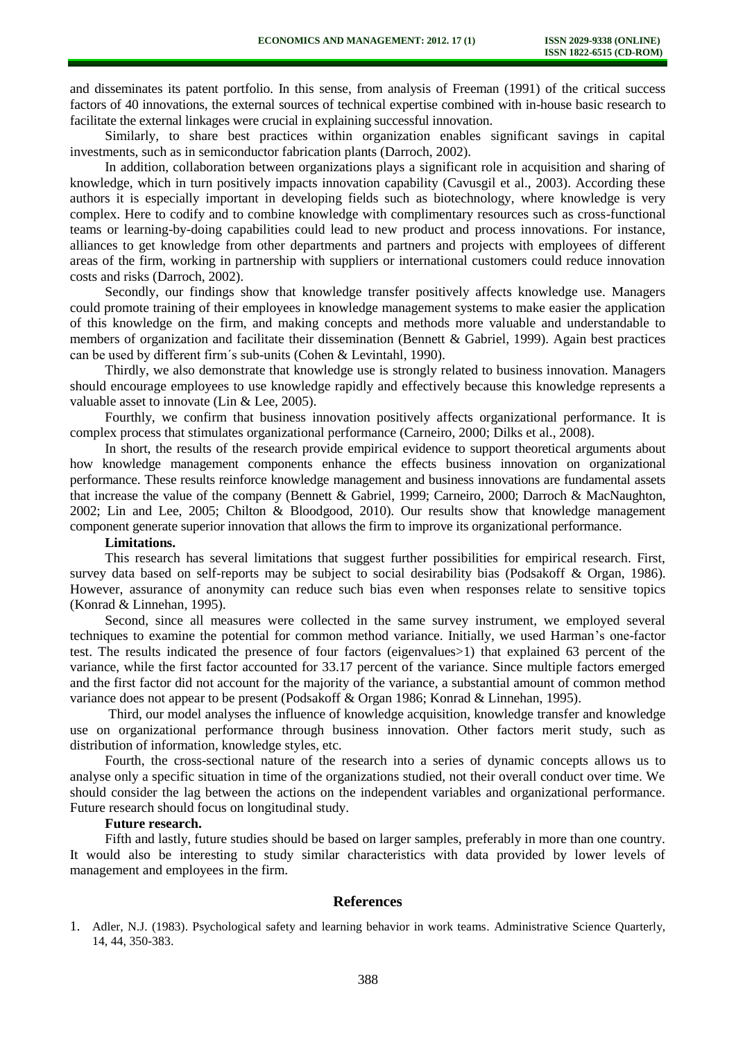and disseminates its patent portfolio. In this sense, from analysis of Freeman (1991) of the critical success factors of 40 innovations, the external sources of technical expertise combined with in-house basic research to facilitate the external linkages were crucial in explaining successful innovation.

Similarly, to share best practices within organization enables significant savings in capital investments, such as in semiconductor fabrication plants (Darroch, 2002).

In addition, collaboration between organizations plays a significant role in acquisition and sharing of knowledge, which in turn positively impacts innovation capability (Cavusgil et al., 2003). According these authors it is especially important in developing fields such as biotechnology, where knowledge is very complex. Here to codify and to combine knowledge with complimentary resources such as cross-functional teams or learning-by-doing capabilities could lead to new product and process innovations. For instance, alliances to get knowledge from other departments and partners and projects with employees of different areas of the firm, working in partnership with suppliers or international customers could reduce innovation costs and risks (Darroch, 2002).

Secondly, our findings show that knowledge transfer positively affects knowledge use. Managers could promote training of their employees in knowledge management systems to make easier the application of this knowledge on the firm, and making concepts and methods more valuable and understandable to members of organization and facilitate their dissemination (Bennett & Gabriel, 1999). Again best practices can be used by different firm´s sub-units (Cohen & Levintahl, 1990).

Thirdly, we also demonstrate that knowledge use is strongly related to business innovation. Managers should encourage employees to use knowledge rapidly and effectively because this knowledge represents a valuable asset to innovate (Lin & Lee, 2005).

Fourthly, we confirm that business innovation positively affects organizational performance. It is complex process that stimulates organizational performance (Carneiro, 2000; Dilks et al., 2008).

In short, the results of the research provide empirical evidence to support theoretical arguments about how knowledge management components enhance the effects business innovation on organizational performance. These results reinforce knowledge management and business innovations are fundamental assets that increase the value of the company (Bennett & Gabriel, 1999; Carneiro, 2000; Darroch & MacNaughton, 2002; Lin and Lee, 2005; Chilton & Bloodgood, 2010). Our results show that knowledge management component generate superior innovation that allows the firm to improve its organizational performance.

# **Limitations.**

This research has several limitations that suggest further possibilities for empirical research. First, survey data based on self-reports may be subject to social desirability bias (Podsakoff & Organ, 1986). However, assurance of anonymity can reduce such bias even when responses relate to sensitive topics (Konrad & Linnehan, 1995).

Second, since all measures were collected in the same survey instrument, we employed several techniques to examine the potential for common method variance. Initially, we used Harman's one-factor test. The results indicated the presence of four factors (eigenvalues>1) that explained 63 percent of the variance, while the first factor accounted for 33.17 percent of the variance. Since multiple factors emerged and the first factor did not account for the majority of the variance, a substantial amount of common method variance does not appear to be present (Podsakoff & Organ 1986; Konrad & Linnehan, 1995).

Third, our model analyses the influence of knowledge acquisition, knowledge transfer and knowledge use on organizational performance through business innovation. Other factors merit study, such as distribution of information, knowledge styles, etc.

Fourth, the cross-sectional nature of the research into a series of dynamic concepts allows us to analyse only a specific situation in time of the organizations studied, not their overall conduct over time. We should consider the lag between the actions on the independent variables and organizational performance. Future research should focus on longitudinal study.

#### **Future research.**

Fifth and lastly, future studies should be based on larger samples, preferably in more than one country. It would also be interesting to study similar characteristics with data provided by lower levels of management and employees in the firm.

# **References**

1. Adler, N.J. (1983). Psychological safety and learning behavior in work teams. Administrative Science Quarterly, 14, 44, 350-383.